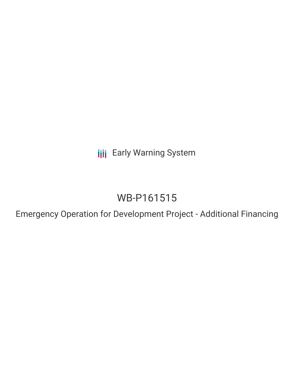**III** Early Warning System

## WB-P161515

Emergency Operation for Development Project - Additional Financing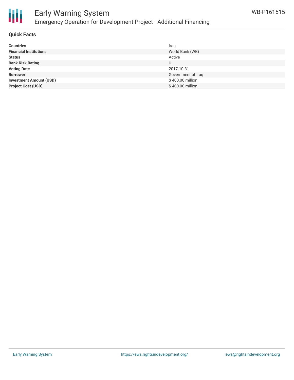

## Early Warning System Emergency Operation for Development Project - Additional Financing

#### **Quick Facts**

| <b>Countries</b>               | Iraq               |
|--------------------------------|--------------------|
| <b>Financial Institutions</b>  | World Bank (WB)    |
| <b>Status</b>                  | Active             |
| <b>Bank Risk Rating</b>        | U                  |
| <b>Voting Date</b>             | 2017-10-31         |
| <b>Borrower</b>                | Government of Iraq |
| <b>Investment Amount (USD)</b> | \$400.00 million   |
| <b>Project Cost (USD)</b>      | \$400.00 million   |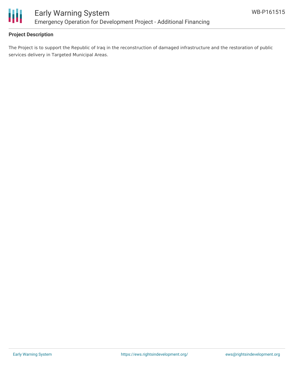

#### **Project Description**

The Project is to support the Republic of Iraq in the reconstruction of damaged infrastructure and the restoration of public services delivery in Targeted Municipal Areas.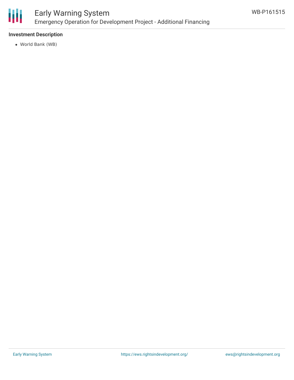

## Early Warning System Emergency Operation for Development Project - Additional Financing

#### **Investment Description**

World Bank (WB)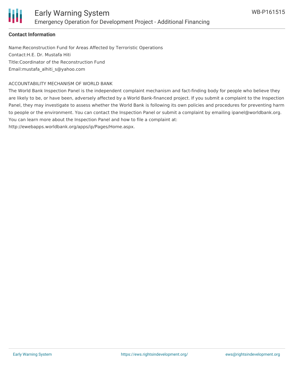

#### **Contact Information**

Name:Reconstruction Fund for Areas Affected by Terroristic Operations Contact:H.E. Dr. Mustafa Hiti Title:Coordinator of the Reconstruction Fund Email:mustafa\_alhiti\_s@yahoo.com

#### ACCOUNTABILITY MECHANISM OF WORLD BANK

The World Bank Inspection Panel is the independent complaint mechanism and fact-finding body for people who believe they are likely to be, or have been, adversely affected by a World Bank-financed project. If you submit a complaint to the Inspection Panel, they may investigate to assess whether the World Bank is following its own policies and procedures for preventing harm to people or the environment. You can contact the Inspection Panel or submit a complaint by emailing ipanel@worldbank.org. You can learn more about the Inspection Panel and how to file a complaint at:

http://ewebapps.worldbank.org/apps/ip/Pages/Home.aspx.